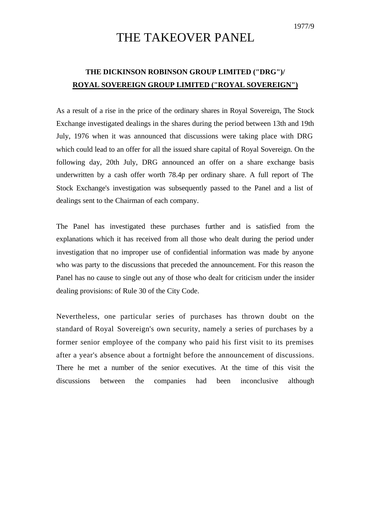## 1977/9

## THE TAKEOVER PANEL

## **THE DICKINSON ROBINSON GROUP LIMITED ("DRG")/ ROYAL SOVEREIGN GROUP LIMITED ("ROYAL SOVEREIGN")**

As a result of a rise in the price of the ordinary shares in Royal Sovereign, The Stock Exchange investigated dealings in the shares during the period between 13th and 19th July, 1976 when it was announced that discussions were taking place with DRG which could lead to an offer for all the issued share capital of Royal Sovereign. On the following day, 20th July, DRG announced an offer on a share exchange basis underwritten by a cash offer worth 78.4p per ordinary share. A full report of The Stock Exchange's investigation was subsequently passed to the Panel and a list of dealings sent to the Chairman of each company.

The Panel has investigated these purchases further and is satisfied from the explanations which it has received from all those who dealt during the period under investigation that no improper use of confidential information was made by anyone who was party to the discussions that preceded the announcement. For this reason the Panel has no cause to single out any of those who dealt for criticism under the insider dealing provisions: of Rule 30 of the City Code.

Nevertheless, one particular series of purchases has thrown doubt on the standard of Royal Sovereign's own security, namely a series of purchases by a former senior employee of the company who paid his first visit to its premises after a year's absence about a fortnight before the announcement of discussions. There he met a number of the senior executives. At the time of this visit the discussions between the companies had been inconclusive although